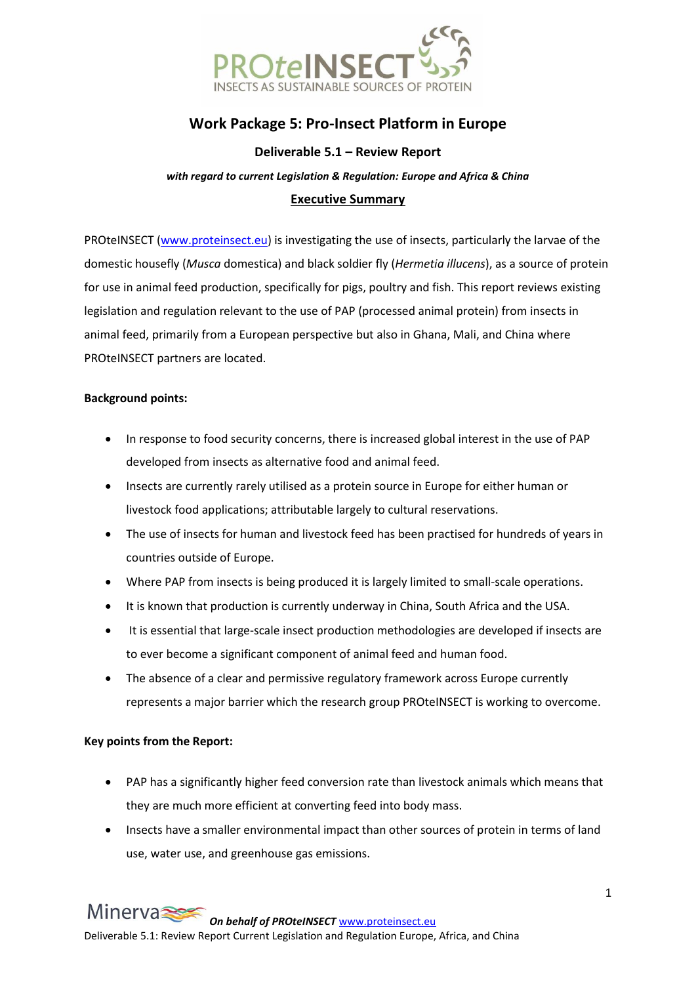

# **Work Package 5: Pro-Insect Platform in Europe**

## **Deliverable 5.1 – Review Report**

*with regard to current Legislation & Regulation: Europe and Africa & China*

#### **Executive Summary**

PROteINSECT [\(www.proteinsect.eu\)](http://www.proteinsect.eu/) is investigating the use of insects, particularly the larvae of the domestic housefly (*Musca* domestica) and black soldier fly (*Hermetia illucens*), as a source of protein for use in animal feed production, specifically for pigs, poultry and fish. This report reviews existing legislation and regulation relevant to the use of PAP (processed animal protein) from insects in animal feed, primarily from a European perspective but also in Ghana, Mali, and China where PROteINSECT partners are located.

#### **Background points:**

- In response to food security concerns, there is increased global interest in the use of PAP developed from insects as alternative food and animal feed.
- Insects are currently rarely utilised as a protein source in Europe for either human or livestock food applications; attributable largely to cultural reservations.
- The use of insects for human and livestock feed has been practised for hundreds of years in countries outside of Europe.
- Where PAP from insects is being produced it is largely limited to small-scale operations.
- It is known that production is currently underway in China, South Africa and the USA.
- It is essential that large-scale insect production methodologies are developed if insects are to ever become a significant component of animal feed and human food.
- The absence of a clear and permissive regulatory framework across Europe currently represents a major barrier which the research group PROteINSECT is working to overcome.

#### **Key points from the Report:**

- PAP has a significantly higher feed conversion rate than livestock animals which means that they are much more efficient at converting feed into body mass.
- Insects have a smaller environmental impact than other sources of protein in terms of land use, water use, and greenhouse gas emissions.